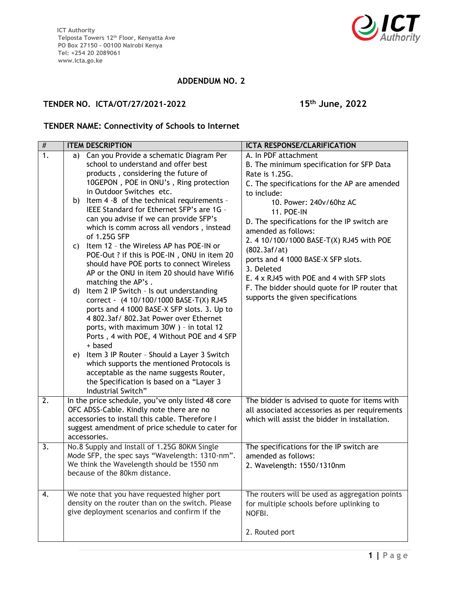

## **ADDENDUM NO. 2**

## **TENDER NO. ICTA/OT/27/2021-2022 15th June, 2022**

## **TENDER NAME: Connectivity of Schools to Internet**

| $\#$             | <b>ITEM DESCRIPTION</b>                                                                                                                                                                                                                                                                         | ICTA RESPONSE/CLARIFICATION                                                                                                                                                               |
|------------------|-------------------------------------------------------------------------------------------------------------------------------------------------------------------------------------------------------------------------------------------------------------------------------------------------|-------------------------------------------------------------------------------------------------------------------------------------------------------------------------------------------|
| 1.               | Can you Provide a schematic Diagram Per<br>a)<br>school to understand and offer best                                                                                                                                                                                                            | A. In PDF attachment<br>B. The minimum specification for SFP Data                                                                                                                         |
|                  | products, considering the future of<br>10GEPON, POE in ONU's, Ring protection<br>in Outdoor Switches etc.<br>Item 4 -8 of the technical requirements -<br>b)<br>IEEE Standard for Ethernet SFP's are 1G -                                                                                       | Rate is 1.25G.<br>C. The specifications for the AP are amended<br>to include:<br>10. Power: 240v/60hz AC                                                                                  |
|                  | can you advise if we can provide SFP's<br>which is comm across all vendors, instead<br>of 1.25G SFP<br>Item 12 - the Wireless AP has POE-IN or<br>C)<br>POE-Out ? if this is POE-IN, ONU in item 20<br>should have POE ports to connect Wireless                                                | <b>11. POE-IN</b><br>D. The specifications for the IP switch are<br>amended as follows:<br>2. 4 10/100/1000 BASE-T(X) RJ45 with POE<br>(802.3af/at)<br>ports and 4 1000 BASE-X SFP slots. |
|                  | AP or the ONU in item 20 should have Wifi6<br>matching the AP's.<br>Item 2 IP Switch - Is out understanding<br>d)<br>correct - (4 10/100/1000 BASE-T(X) RJ45<br>ports and 4 1000 BASE-X SFP slots. 3. Up to<br>4 802.3af/ 802.3at Power over Ethernet<br>ports, with maximum 30W) - in total 12 | 3. Deleted<br>E. 4 x RJ45 with POE and 4 with SFP slots<br>F. The bidder should quote for IP router that<br>supports the given specifications                                             |
|                  | Ports, 4 with POE, 4 Without POE and 4 SFP<br>+ based<br>Item 3 IP Router - Should a Layer 3 Switch<br>e)<br>which supports the mentioned Protocols is                                                                                                                                          |                                                                                                                                                                                           |
|                  | acceptable as the name suggests Router,<br>the Specification is based on a "Layer 3<br>Industrial Switch"                                                                                                                                                                                       |                                                                                                                                                                                           |
| $\overline{2}$ . | In the price schedule, you've only listed 48 core<br>OFC ADSS-Cable. Kindly note there are no<br>accessories to install this cable. Therefore I<br>suggest amendment of price schedule to cater for<br>accessories.                                                                             | The bidder is advised to quote for items with<br>all associated accessories as per requirements<br>which will assist the bidder in installation.                                          |
| $\overline{3}$ . | No.8 Supply and Install of 1.25G 80KM Single<br>Mode SFP, the spec says "Wavelength: 1310-nm".<br>We think the Wavelength should be 1550 nm<br>because of the 80km distance.                                                                                                                    | The specifications for the IP switch are<br>amended as follows:<br>2. Wavelength: 1550/1310nm                                                                                             |
| 4.               | We note that you have requested higher port<br>density on the router than on the switch. Please<br>give deployment scenarios and confirm if the                                                                                                                                                 | The routers will be used as aggregation points<br>for multiple schools before uplinking to<br>NOFBI.                                                                                      |
|                  |                                                                                                                                                                                                                                                                                                 | 2. Routed port                                                                                                                                                                            |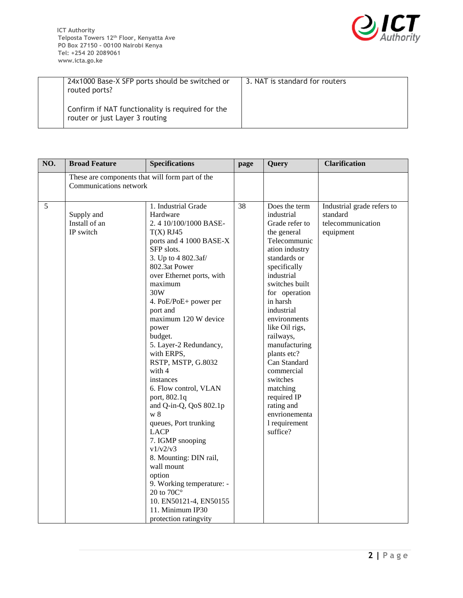

| 24x1000 Base-X SFP ports should be switched or<br>routed ports?                    | 3. NAT is standard for routers |
|------------------------------------------------------------------------------------|--------------------------------|
| Confirm if NAT functionality is required for the<br>router or just Layer 3 routing |                                |

| NO. | <b>Broad Feature</b>                                                      | <b>Specifications</b>                                                                                                                                                                                                                                                                                                                                                                                                                                                                                                                                                                                                                                                                                                   | page            | Query                                                                                                                                                                                                                                                                                                                                                                                                                     | <b>Clarification</b>                                                     |
|-----|---------------------------------------------------------------------------|-------------------------------------------------------------------------------------------------------------------------------------------------------------------------------------------------------------------------------------------------------------------------------------------------------------------------------------------------------------------------------------------------------------------------------------------------------------------------------------------------------------------------------------------------------------------------------------------------------------------------------------------------------------------------------------------------------------------------|-----------------|---------------------------------------------------------------------------------------------------------------------------------------------------------------------------------------------------------------------------------------------------------------------------------------------------------------------------------------------------------------------------------------------------------------------------|--------------------------------------------------------------------------|
|     | These are components that will form part of the<br>Communications network |                                                                                                                                                                                                                                                                                                                                                                                                                                                                                                                                                                                                                                                                                                                         |                 |                                                                                                                                                                                                                                                                                                                                                                                                                           |                                                                          |
| 5   | Supply and<br>Install of an<br>IP switch                                  | 1. Industrial Grade<br>Hardware<br>2.4 10/100/1000 BASE-<br>$T(X)$ RJ45<br>ports and 4 1000 BASE-X<br>SFP slots.<br>3. Up to 4 802.3af/<br>802.3at Power<br>over Ethernet ports, with<br>maximum<br>30W<br>4. PoE/PoE+ power per<br>port and<br>maximum 120 W device<br>power<br>budget.<br>5. Layer-2 Redundancy,<br>with ERPS,<br>RSTP, MSTP, G.8032<br>with 4<br>instances<br>6. Flow control, VLAN<br>port, 802.1q<br>and Q-in-Q, QoS 802.1p<br>w <sub>8</sub><br>queues, Port trunking<br><b>LACP</b><br>7. IGMP snooping<br>v1/v2/v3<br>8. Mounting: DIN rail,<br>wall mount<br>option<br>9. Working temperature: -<br>20 to $70C^{\circ}$<br>10. EN50121-4, EN50155<br>11. Minimum IP30<br>protection ratingvity | $\overline{38}$ | Does the term<br>industrial<br>Grade refer to<br>the general<br>Telecommunic<br>ation industry<br>standards or<br>specifically<br>industrial<br>switches built<br>for operation<br>in harsh<br>industrial<br>environments<br>like Oil rigs,<br>railways,<br>manufacturing<br>plants etc?<br>Can Standard<br>commercial<br>switches<br>matching<br>required IP<br>rating and<br>envrionementa<br>1 requirement<br>suffice? | Industrial grade refers to<br>standard<br>telecommunication<br>equipment |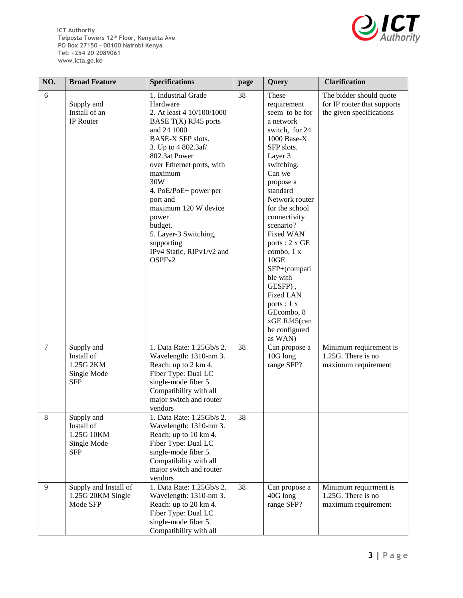**ICT Authority Telposta Towers 12th Floor, Kenyatta Ave PO Box 27150 - 00100 Nairobi Kenya Tel: +254 20 2089061 www.icta.go.ke** 



| NO.    | <b>Broad Feature</b>                                                | <b>Specifications</b>                                                                                                                                                                                                                                                                                                                                                          | page | Query                                                                                                                                                                                                                                                                                                                                                                                                                              | <b>Clarification</b>                                                               |
|--------|---------------------------------------------------------------------|--------------------------------------------------------------------------------------------------------------------------------------------------------------------------------------------------------------------------------------------------------------------------------------------------------------------------------------------------------------------------------|------|------------------------------------------------------------------------------------------------------------------------------------------------------------------------------------------------------------------------------------------------------------------------------------------------------------------------------------------------------------------------------------------------------------------------------------|------------------------------------------------------------------------------------|
| 6      | Supply and<br>Install of an<br><b>IP</b> Router                     | 1. Industrial Grade<br>Hardware<br>2. At least 4 10/100/1000<br>BASE T(X) RJ45 ports<br>and 24 1000<br>BASE-X SFP slots.<br>3. Up to 4 802.3af/<br>802.3at Power<br>over Ethernet ports, with<br>maximum<br>30W<br>4. PoE/PoE+ power per<br>port and<br>maximum 120 W device<br>power<br>budget.<br>5. Layer-3 Switching,<br>supporting<br>IPv4 Static, RIPv1/v2 and<br>OSPFv2 | 38   | These<br>requirement<br>seem to be for<br>a network<br>switch, for 24<br>$1000$ Base- $X$<br>SFP slots.<br>Layer 3<br>switching.<br>Can we<br>propose a<br>standard<br>Network router<br>for the school<br>connectivity<br>scenario?<br><b>Fixed WAN</b><br>ports : $2 \times GE$<br>combo, 1 x<br>10GE<br>SFP+(compati<br>ble with<br>GESFP),<br><b>Fized LAN</b><br>ports : $1 x$<br>GEcombo, 8<br>xGE RJ45(can<br>be configured | The bidder should quote<br>for IP router that supports<br>the given specifications |
| $\tau$ | Supply and<br>Install of<br>1.25G 2KM<br>Single Mode<br><b>SFP</b>  | 1. Data Rate: 1.25Gb/s 2.<br>Wavelength: 1310-nm 3.<br>Reach: up to 2 km 4.<br>Fiber Type: Dual LC<br>single-mode fiber 5.<br>Compatibility with all<br>major switch and router<br>vendors                                                                                                                                                                                     | 38   | as WAN)<br>Can propose a<br>10G long<br>range SFP?                                                                                                                                                                                                                                                                                                                                                                                 | Minimum requirement is<br>1.25G. There is no<br>maximum requirement                |
| 8      | Supply and<br>Install of<br>1.25G 10KM<br>Single Mode<br><b>SFP</b> | 1. Data Rate: 1.25Gb/s 2.<br>Wavelength: 1310-nm 3.<br>Reach: up to 10 km 4.<br>Fiber Type: Dual LC<br>single-mode fiber 5.<br>Compatibility with all<br>major switch and router<br>vendors                                                                                                                                                                                    | 38   |                                                                                                                                                                                                                                                                                                                                                                                                                                    |                                                                                    |
| 9      | Supply and Install of<br>1.25G 20KM Single<br>Mode SFP              | 1. Data Rate: 1.25Gb/s 2.<br>Wavelength: 1310-nm 3.<br>Reach: up to 20 km 4.<br>Fiber Type: Dual LC<br>single-mode fiber 5.<br>Compatibility with all                                                                                                                                                                                                                          | 38   | Can propose a<br>40G long<br>range SFP?                                                                                                                                                                                                                                                                                                                                                                                            | Minimum requirment is<br>1.25G. There is no<br>maximum requirement                 |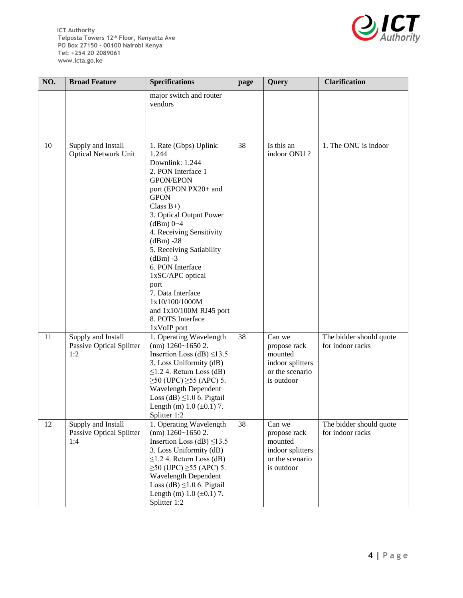



| NO. | <b>Broad Feature</b>                                         | <b>Specifications</b>                                                                                                                                                                                                                                                                                                                                                                                                                         | page | Query                                                                                  | <b>Clarification</b>                        |
|-----|--------------------------------------------------------------|-----------------------------------------------------------------------------------------------------------------------------------------------------------------------------------------------------------------------------------------------------------------------------------------------------------------------------------------------------------------------------------------------------------------------------------------------|------|----------------------------------------------------------------------------------------|---------------------------------------------|
|     |                                                              | major switch and router<br>vendors                                                                                                                                                                                                                                                                                                                                                                                                            |      |                                                                                        |                                             |
| 10  | Supply and Install<br><b>Optical Network Unit</b>            | 1. Rate (Gbps) Uplink:<br>1.244<br>Downlink: 1.244<br>2. PON Interface 1<br><b>GPON/EPON</b><br>port (EPON PX20+ and<br><b>GPON</b><br>Class $B+$ )<br>3. Optical Output Power<br>$(dBm) 0 - 4$<br>4. Receiving Sensitivity<br>$(dBm) - 28$<br>5. Receiving Satiability<br>$(dBm) -3$<br>6. PON Interface<br>1xSC/APC optical<br>port<br>7. Data Interface<br>1x10/100/1000M<br>and $1x10/100M$ RJ45 port<br>8. POTS Interface<br>1xVoIP port | 38   | Is this an<br>indoor ONU?                                                              | 1. The ONU is indoor                        |
| 11  | Supply and Install<br><b>Passive Optical Splitter</b><br>1:2 | 1. Operating Wavelength<br>$(nm)$ 1260~1650 2.<br>Insertion Loss (dB) $\leq$ 13.5<br>3. Loss Uniformity (dB)<br>$\leq$ 1.2 4. Return Loss (dB)<br>$\geq$ 50 (UPC) $\geq$ 55 (APC) 5.<br><b>Wavelength Dependent</b><br>Loss (dB) $\leq$ 1.0 6. Pigtail<br>Length (m) $1.0$ ( $\pm 0.1$ ) 7.<br>Splitter 1:2                                                                                                                                   | 38   | Can we<br>propose rack<br>mounted<br>indoor splitters<br>or the scenario<br>is outdoor | The bidder should quote<br>for indoor racks |
| 12  | Supply and Install<br>Passive Optical Splitter<br>1:4        | 1. Operating Wavelength<br>$(nm)$ 1260~1650 2.<br>Insertion Loss (dB) $\leq$ 13.5<br>3. Loss Uniformity (dB)<br>$\leq$ 1.2 4. Return Loss (dB)<br>$\geq$ 50 (UPC) $\geq$ 55 (APC) 5.<br><b>Wavelength Dependent</b><br>Loss (dB) $\leq$ 1.0 6. Pigtail<br>Length (m) $1.0 \ (\pm 0.1)$ 7.<br>Splitter 1:2                                                                                                                                     | 38   | Can we<br>propose rack<br>mounted<br>indoor splitters<br>or the scenario<br>is outdoor | The bidder should quote<br>for indoor racks |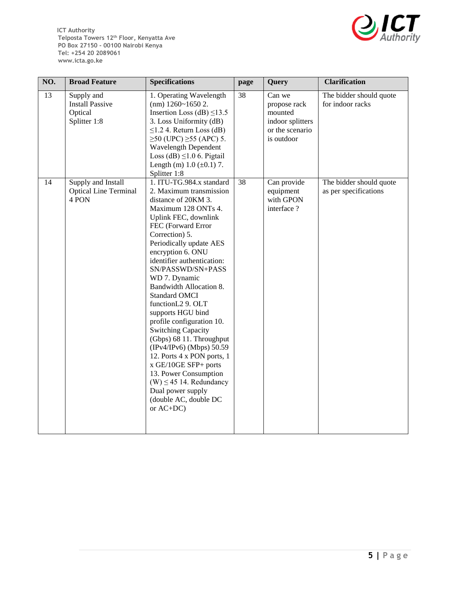**ICT Authority Telposta Towers 12th Floor, Kenyatta Ave PO Box 27150 - 00100 Nairobi Kenya Tel: +254 20 2089061 www.icta.go.ke** 



| NO. | <b>Broad Feature</b>                                            | <b>Specifications</b>                                                                                                                                                                                                                                                                                                                                                                                                                                                                                                                                                                                                                                                            | page            | Query                                                                                  | <b>Clarification</b>                             |
|-----|-----------------------------------------------------------------|----------------------------------------------------------------------------------------------------------------------------------------------------------------------------------------------------------------------------------------------------------------------------------------------------------------------------------------------------------------------------------------------------------------------------------------------------------------------------------------------------------------------------------------------------------------------------------------------------------------------------------------------------------------------------------|-----------------|----------------------------------------------------------------------------------------|--------------------------------------------------|
| 13  | Supply and<br><b>Install Passive</b><br>Optical<br>Splitter 1:8 | 1. Operating Wavelength<br>$(nm)$ 1260~1650 2.<br>Insertion Loss (dB) $\leq$ 13.5<br>3. Loss Uniformity (dB)<br>$\leq$ 1.2 4. Return Loss (dB)<br>$\geq$ 50 (UPC) $\geq$ 55 (APC) 5.<br><b>Wavelength Dependent</b><br>Loss (dB) $\leq$ 1.0 6. Pigtail<br>Length (m) $1.0$ ( $\pm 0.1$ ) 7.<br>Splitter 1:8                                                                                                                                                                                                                                                                                                                                                                      | $\overline{38}$ | Can we<br>propose rack<br>mounted<br>indoor splitters<br>or the scenario<br>is outdoor | The bidder should quote<br>for indoor racks      |
| 14  | Supply and Install<br><b>Optical Line Terminal</b><br>4 PON     | 1. ITU-TG.984.x standard<br>2. Maximum transmission<br>distance of 20KM 3.<br>Maximum 128 ONTs 4.<br>Uplink FEC, downlink<br>FEC (Forward Error<br>Correction) 5.<br>Periodically update AES<br>encryption 6. ONU<br>identifier authentication:<br>SN/PASSWD/SN+PASS<br>WD 7. Dynamic<br>Bandwidth Allocation 8.<br><b>Standard OMCI</b><br>functionL2 9. OLT<br>supports HGU bind<br>profile configuration 10.<br><b>Switching Capacity</b><br>(Gbps) 68 11. Throughput<br>$(IPv4/IPv6)$ (Mbps) 50.59<br>12. Ports 4 x PON ports, 1<br>x GE/10GE SFP+ ports<br>13. Power Consumption<br>$(W) \leq 45$ 14. Redundancy<br>Dual power supply<br>(double AC, double DC<br>or AC+DC) | 38              | Can provide<br>equipment<br>with GPON<br>interface?                                    | The bidder should quote<br>as per specifications |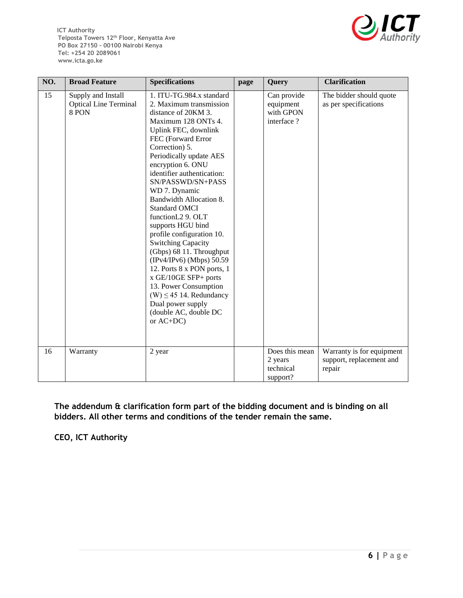**ICT Authority Telposta Towers 12th Floor, Kenyatta Ave PO Box 27150 - 00100 Nairobi Kenya Tel: +254 20 2089061 www.icta.go.ke** 



| NO. | <b>Broad Feature</b>                                        | <b>Specifications</b>                                                                                                                                                                                                                                                                                                                                                                                                                                                                                                                                                                                                                                                             | page | Query                                               | <b>Clarification</b>                                            |
|-----|-------------------------------------------------------------|-----------------------------------------------------------------------------------------------------------------------------------------------------------------------------------------------------------------------------------------------------------------------------------------------------------------------------------------------------------------------------------------------------------------------------------------------------------------------------------------------------------------------------------------------------------------------------------------------------------------------------------------------------------------------------------|------|-----------------------------------------------------|-----------------------------------------------------------------|
| 15  | Supply and Install<br><b>Optical Line Terminal</b><br>8 PON | 1. ITU-TG.984.x standard<br>2. Maximum transmission<br>distance of 20KM 3.<br>Maximum 128 ONTs 4.<br>Uplink FEC, downlink<br>FEC (Forward Error<br>Correction) 5.<br>Periodically update AES<br>encryption 6. ONU<br>identifier authentication:<br>SN/PASSWD/SN+PASS<br>WD 7. Dynamic<br>Bandwidth Allocation 8.<br><b>Standard OMCI</b><br>functionL2 9. OLT<br>supports HGU bind<br>profile configuration 10.<br><b>Switching Capacity</b><br>(Gbps) 68 11. Throughput<br>(IPv4/IPv6) (Mbps) 50.59<br>12. Ports 8 x PON ports, 1<br>x GE/10GE SFP+ ports<br>13. Power Consumption<br>$(W) \leq 45$ 14. Redundancy<br>Dual power supply<br>(double AC, double DC<br>or $AC+DC$ ) |      | Can provide<br>equipment<br>with GPON<br>interface? | The bidder should quote<br>as per specifications                |
| 16  | Warranty                                                    | 2 year                                                                                                                                                                                                                                                                                                                                                                                                                                                                                                                                                                                                                                                                            |      | Does this mean<br>2 years<br>technical<br>support?  | Warranty is for equipment<br>support, replacement and<br>repair |

**The addendum & clarification form part of the bidding document and is binding on all bidders. All other terms and conditions of the tender remain the same.** 

**CEO, ICT Authority**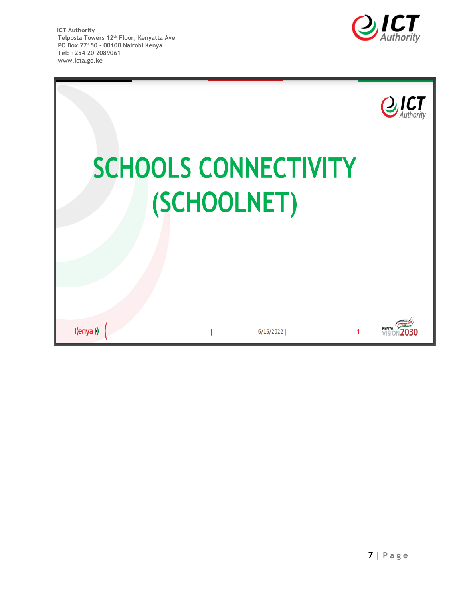